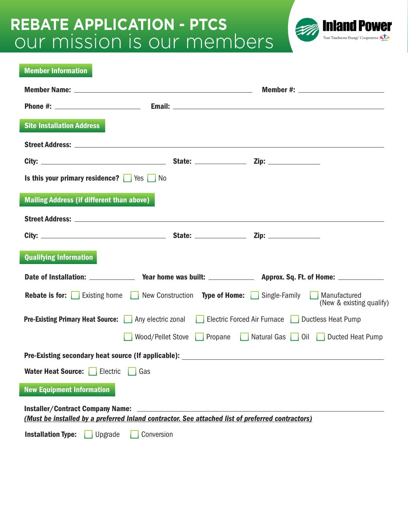# our mission is our members **REBATE APPLICATION - PTCS**



| <b>Member Information</b>                                                                                         |                                                |
|-------------------------------------------------------------------------------------------------------------------|------------------------------------------------|
|                                                                                                                   |                                                |
|                                                                                                                   |                                                |
| <b>Site Installation Address</b>                                                                                  |                                                |
|                                                                                                                   |                                                |
|                                                                                                                   |                                                |
|                                                                                                                   |                                                |
| Is this your primary residence?   Yes No                                                                          |                                                |
| <b>Mailing Address (if different than above)</b>                                                                  |                                                |
|                                                                                                                   |                                                |
|                                                                                                                   |                                                |
|                                                                                                                   |                                                |
| <b>Qualifying Information</b>                                                                                     |                                                |
|                                                                                                                   |                                                |
| <b>Rebate is for:</b> Existing home New Construction Type of Home: Single-Family Manufactured                     | (New & existing qualify)                       |
| Electric Forced Air Furnace   Ductless Heat Pump<br><b>Pre-Existing Primary Heat Source:</b>   Any electric zonal |                                                |
| Wood/Pellet Stove                                                                                                 | Propane   Natural Gas   Oil   Ducted Heat Pump |
|                                                                                                                   |                                                |
| <b>Water Heat Source:</b>   Electric<br>Gas                                                                       |                                                |
| <b>New Equipment Information</b>                                                                                  |                                                |
| <b>Installer/Contract Company Name:</b>                                                                           |                                                |
| (Must be installed by a preferred Inland contractor. See attached list of preferred contractors)                  |                                                |
| <b>Installation Type:</b><br>Conversion<br>Upgrade                                                                |                                                |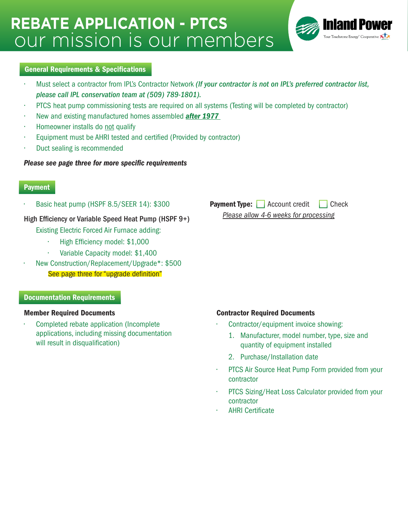# our mission is our members **REBATE APPLICATION - PTCS**



#### General Requirements & Specifications

- Must select a contractor from IPL's Contractor Network *(If your contractor is not on IPL's preferred contractor list, please call IPL conservation team at (509) 789-1801).*
- PTCS heat pump commissioning tests are required on all systems (Testing will be completed by contractor)
- New and existing manufactured homes assembled *after 1977*
- Homeowner installs do not qualify
- Equipment must be AHRI tested and certified (Provided by contractor)
- Duct sealing is recommended

#### *Please see page three for more specific requirements*

### **Payment**

• Basic heat pump (HSPF 8.5/SEER 14): \$300

High Efficiency or Variable Speed Heat Pump (HSPF 9+)

Existing Electric Forced Air Furnace adding:

- High Efficiency model: \$1,000
- Variable Capacity model: \$1,400
- New Construction/Replacement/Upgrade\*: \$500

See page three for "upgrade definition"

#### Documentation Requirements

• Completed rebate application (Incomplete applications, including missing documentation will result in disqualification)

**Payment Type:** Account credit Check *Please allow 4-6 weeks for processing*

#### Member Required Documents Contractor Required Documents

- Contractor/equipment invoice showing:
	- 1. Manufacturer, model number, type, size and quantity of equipment installed
	- 2. Purchase/Installation date
- PTCS Air Source Heat Pump Form provided from your contractor
- PTCS Sizing/Heat Loss Calculator provided from your contractor
- AHRI Certificate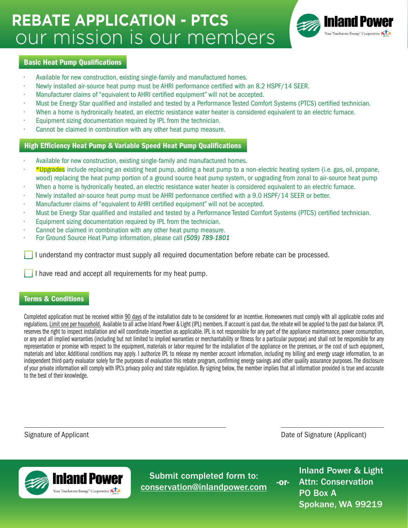# our mission is our members **REBATE APPLICATION - PTCS**



#### Basic Heat Pump Qualifications

- Available for new construction, existing single-family and manufactured homes.
- Newly installed air-source heat pump must be AHRI performance certified with an 8.2 HSPF/14 SEER.
- Manufacturer claims of "equivalent to AHRI certified equipment" will not be accepted.
- Must be Energy Star qualified and installed and tested by a Performance Tested Comfort Systems (PTCS) certified technician.
- When a home is hydronically heated, an electric resistance water heater is considered equivalent to an electric furnace.
- Equipment sizing documentation required by IPL from the technician.
- Cannot be claimed in combination with any other heat pump measure.

#### High Efficiency Heat Pump & Variable Speed Heat Pump Qualifications

- Available for new construction, existing single-family and manufactured homes.
- \*Upgrades include replacing an existing heat pump, adding a heat pump to a non-electric heating system (i.e. gas, oil, propane, wood) replacing the heat pump portion of a ground source heat pump system, or upgrading from zonal to air-source heat pump
- When a home is hydronically heated, an electric resistance water heater is considered equivalent to an electric furnace.
- Newly installed air-source heat pump must be AHRI performance certified with a 9.0 HSPF/14 SEER or better.
- Manufacturer claims of "equivalent to AHRI certified equipment" will not be accepted.
- Must be Energy Star qualified and installed and tested by a Performance Tested Comfort Systems (PTCS) certified technician.
- Equipment sizing documentation required by IPL from the technician.
- Cannot be claimed in combination with any other heat pump measure.
- For Ground Source Heat Pump information, please call *(509) 789-1801*

I understand my contractor must supply all required documentation before rebate can be processed.

I have read and accept all requirements for my heat pump.

#### Terms & Conditions

Completed application must be received within 90 days of the installation date to be considered for an incentive. Homeowners must comply with all applicable codes and regulations. Limit one per household. Available to all active Inland Power & Light (IPL) members. If account is past due, the rebate will be applied to the past due balance. IPL reserves the right to inspect installation and will coordinate inspection as applicable. IPL is not responsible for any part of the appliance maintenance, power consumption, or any and all implied warranties (including but not limited to implied warranties or merchantability or fitness for a particular purpose) and shall not be responsible for any representation or promise with respect to the equipment, materials or labor required for the installation of the appliance on the premises, or the cost of such equipment, materials and labor. Additional conditions may apply. I authorize IPL to release my member account information, including my billing and energy usage information, to an independent third-party evaluator solely for the purposes of evaluation this rebate program, confirming energy savings and other quality assurance purposes. The disclosure of your private information will comply with IPL's privacy policy and state regulation. By signing below, the member implies that all information provided is true and accurate to the best of their knowledge.

Signature of Applicant **Date of Applicant** Date of Signature (Applicant)



Submit completed form to: conservation@inlandpower.com

Inland Power & Light Attn: Conservation PO Box A Spokane, WA 99219 -or-